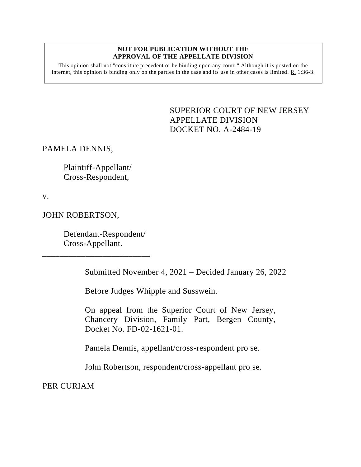## **NOT FOR PUBLICATION WITHOUT THE APPROVAL OF THE APPELLATE DIVISION**

This opinion shall not "constitute precedent or be binding upon any court." Although it is posted on the internet, this opinion is binding only on the parties in the case and its use in other cases is limited. R. 1:36-3.

> <span id="page-0-0"></span>SUPERIOR COURT OF NEW JERSEY APPELLATE DIVISION DOCKET NO. A-2484-19

PAMELA DENNIS,

Plaintiff-Appellant/ Cross-Respondent,

v.

JOHN ROBERTSON,

Defendant-Respondent/ Cross-Appellant.

\_\_\_\_\_\_\_\_\_\_\_\_\_\_\_\_\_\_\_\_\_\_\_\_\_

Submitted November 4, 2021 – Decided January 26, 2022

Before Judges Whipple and Susswein.

On appeal from the Superior Court of New Jersey, Chancery Division, Family Part, Bergen County, Docket No. FD-02-1621-01.

Pamela Dennis, appellant/cross-respondent pro se.

John Robertson, respondent/cross-appellant pro se.

PER CURIAM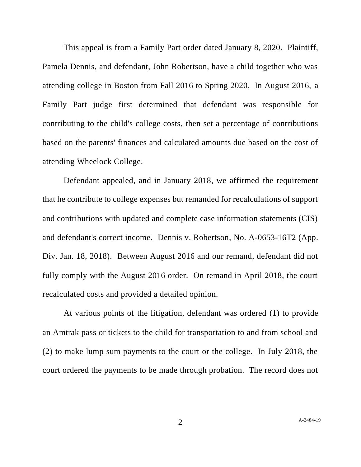This appeal is from a Family Part order dated January 8, 2020. Plaintiff, Pamela Dennis, and defendant, John Robertson, have a child together who was attending college in Boston from Fall 2016 to Spring 2020. In August 2016, a Family Part judge first determined that defendant was responsible for contributing to the child's college costs, then set a percentage of contributions based on the parents' finances and calculated amounts due based on the cost of attending Wheelock College.

Defendant appealed, and in January 2018, we affirmed the requirement that he contribute to college expenses but remanded for recalculations of support and contributions with updated and complete case information statements (CIS) and defendant's correct income. Dennis v. Robertson, No. A-0653-16T2 (App. Div. Jan. 18, 2018). Between August 2016 and our remand, defendant did not fully comply with the August 2016 order. On remand in April 2018, the court recalculated costs and provided a detailed opinion.

At various points of the litigation, defendant was ordered (1) to provide an Amtrak pass or tickets to the child for transportation to and from school and (2) to make lump sum payments to the court or the college. In July 2018, the court ordered the payments to be made through probation. The record does not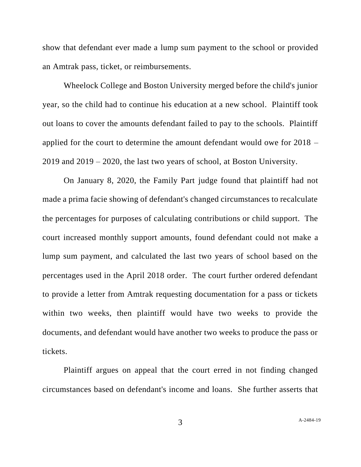show that defendant ever made a lump sum payment to the school or provided an Amtrak pass, ticket, or reimbursements.

Wheelock College and Boston University merged before the child's junior year, so the child had to continue his education at a new school. Plaintiff took out loans to cover the amounts defendant failed to pay to the schools. Plaintiff applied for the court to determine the amount defendant would owe for 2018 – 2019 and 2019 – 2020, the last two years of school, at Boston University.

On January 8, 2020, the Family Part judge found that plaintiff had not made a prima facie showing of defendant's changed circumstances to recalculate the percentages for purposes of calculating contributions or child support. The court increased monthly support amounts, found defendant could not make a lump sum payment, and calculated the last two years of school based on the percentages used in the April 2018 order. The court further ordered defendant to provide a letter from Amtrak requesting documentation for a pass or tickets within two weeks, then plaintiff would have two weeks to provide the documents, and defendant would have another two weeks to produce the pass or tickets.

Plaintiff argues on appeal that the court erred in not finding changed circumstances based on defendant's income and loans. She further asserts that

A[-2484-19](#page-0-0)

3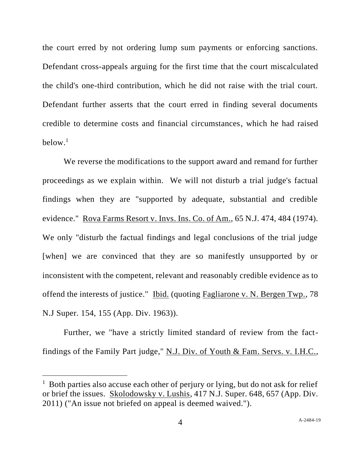the court erred by not ordering lump sum payments or enforcing sanctions. Defendant cross-appeals arguing for the first time that the court miscalculated the child's one-third contribution, which he did not raise with the trial court. Defendant further asserts that the court erred in finding several documents credible to determine costs and financial circumstances, which he had raised below. 1

We reverse the modifications to the support award and remand for further proceedings as we explain within. We will not disturb a trial judge's factual findings when they are "supported by adequate, substantial and credible evidence." Rova Farms Resort v. Invs. Ins. Co. of Am., 65 N.J. 474, 484 (1974). We only "disturb the factual findings and legal conclusions of the trial judge [when] we are convinced that they are so manifestly unsupported by or inconsistent with the competent, relevant and reasonably credible evidence as to offend the interests of justice." Ibid. (quoting Fagliarone v. N. Bergen Twp., 78 N.J Super. 154, 155 (App. Div. 1963)).

Further, we "have a strictly limited standard of review from the factfindings of the Family Part judge," N.J. Div. of Youth & Fam. Servs. v. I.H.C.,

<sup>&</sup>lt;sup>1</sup> Both parties also accuse each other of perjury or lying, but do not ask for relief or brief the issues. Skolodowsky v. Lushis, 417 N.J. Super. 648, 657 (App. Div. 2011) ("An issue not briefed on appeal is deemed waived.").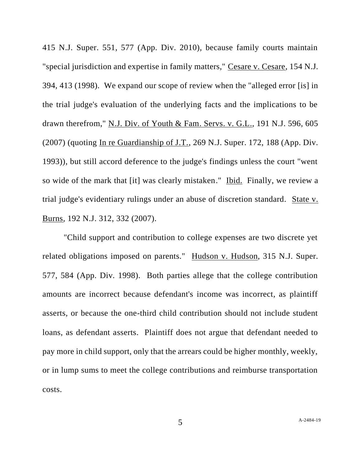415 N.J. Super. 551, 577 (App. Div. 2010), because family courts maintain "special jurisdiction and expertise in family matters," Cesare v. Cesare, 154 N.J. 394, 413 (1998). We expand our scope of review when the "alleged error [is] in the trial judge's evaluation of the underlying facts and the implications to be drawn therefrom," N.J. Div. of Youth & Fam. Servs. v. G.L., 191 N.J. 596, 605 (2007) (quoting In re Guardianship of J.T., 269 N.J. Super. 172, 188 (App. Div. 1993)), but still accord deference to the judge's findings unless the court "went so wide of the mark that [it] was clearly mistaken." Ibid. Finally, we review a trial judge's evidentiary rulings under an abuse of discretion standard. State v. Burns, 192 N.J. 312, 332 (2007).

"Child support and contribution to college expenses are two discrete yet related obligations imposed on parents." Hudson v. Hudson, 315 N.J. Super. 577, 584 (App. Div. 1998). Both parties allege that the college contribution amounts are incorrect because defendant's income was incorrect, as plaintiff asserts, or because the one-third child contribution should not include student loans, as defendant asserts. Plaintiff does not argue that defendant needed to pay more in child support, only that the arrears could be higher monthly, weekly, or in lump sums to meet the college contributions and reimburse transportation costs.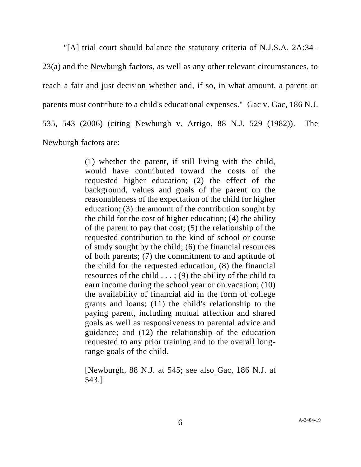"[A] trial court should balance the statutory criteria of N.J.S.A. 2A:34–

23(a) and the Newburgh factors, as well as any other relevant circumstances, to reach a fair and just decision whether and, if so, in what amount, a parent or parents must contribute to a child's educational expenses." Gac v. Gac, 186 N.J. 535, 543 (2006) (citing Newburgh v. Arrigo, 88 N.J. 529 (1982)). The Newburgh factors are:

> (1) whether the parent, if still living with the child, would have contributed toward the costs of the requested higher education; (2) the effect of the background, values and goals of the parent on the reasonableness of the expectation of the child for higher education; (3) the amount of the contribution sought by the child for the cost of higher education; (4) the ability of the parent to pay that cost; (5) the relationship of the requested contribution to the kind of school or course of study sought by the child; (6) the financial resources of both parents; (7) the commitment to and aptitude of the child for the requested education; (8) the financial resources of the child  $\dots$ ; (9) the ability of the child to earn income during the school year or on vacation; (10) the availability of financial aid in the form of college grants and loans; (11) the child's relationship to the paying parent, including mutual affection and shared goals as well as responsiveness to parental advice and guidance; and (12) the relationship of the education requested to any prior training and to the overall longrange goals of the child.

> [Newburgh, 88 N.J. at 545; see also Gac, 186 N.J. at 543.]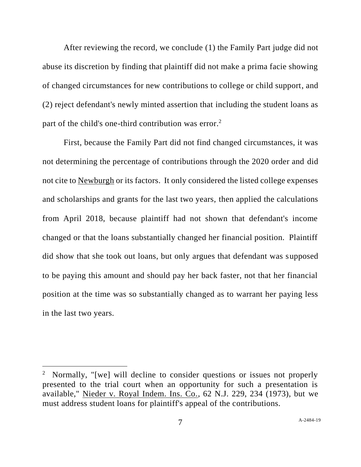After reviewing the record, we conclude (1) the Family Part judge did not abuse its discretion by finding that plaintiff did not make a prima facie showing of changed circumstances for new contributions to college or child support, and (2) reject defendant's newly minted assertion that including the student loans as part of the child's one-third contribution was error.<sup>2</sup>

First, because the Family Part did not find changed circumstances, it was not determining the percentage of contributions through the 2020 order and did not cite to Newburgh or its factors. It only considered the listed college expenses and scholarships and grants for the last two years, then applied the calculations from April 2018, because plaintiff had not shown that defendant's income changed or that the loans substantially changed her financial position. Plaintiff did show that she took out loans, but only argues that defendant was supposed to be paying this amount and should pay her back faster, not that her financial position at the time was so substantially changed as to warrant her paying less in the last two years.

<sup>&</sup>lt;sup>2</sup> Normally, "[we] will decline to consider questions or issues not properly presented to the trial court when an opportunity for such a presentation is available," Nieder v. Royal Indem. Ins. Co., 62 N.J. 229, 234 (1973), but we must address student loans for plaintiff's appeal of the contributions.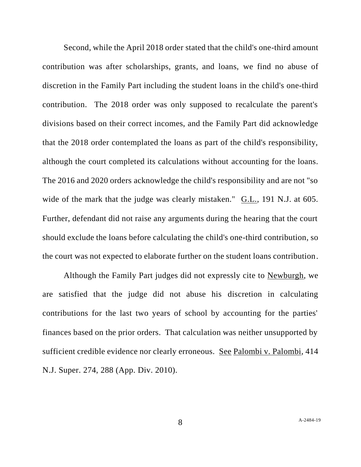Second, while the April 2018 order stated that the child's one-third amount contribution was after scholarships, grants, and loans, we find no abuse of discretion in the Family Part including the student loans in the child's one-third contribution. The 2018 order was only supposed to recalculate the parent's divisions based on their correct incomes, and the Family Part did acknowledge that the 2018 order contemplated the loans as part of the child's responsibility, although the court completed its calculations without accounting for the loans. The 2016 and 2020 orders acknowledge the child's responsibility and are not "so wide of the mark that the judge was clearly mistaken." G.L., 191 N.J. at 605. Further, defendant did not raise any arguments during the hearing that the court should exclude the loans before calculating the child's one-third contribution, so the court was not expected to elaborate further on the student loans contribution.

Although the Family Part judges did not expressly cite to Newburgh, we are satisfied that the judge did not abuse his discretion in calculating contributions for the last two years of school by accounting for the parties' finances based on the prior orders. That calculation was neither unsupported by sufficient credible evidence nor clearly erroneous. See Palombi v. Palombi, 414 N.J. Super. 274, 288 (App. Div. 2010).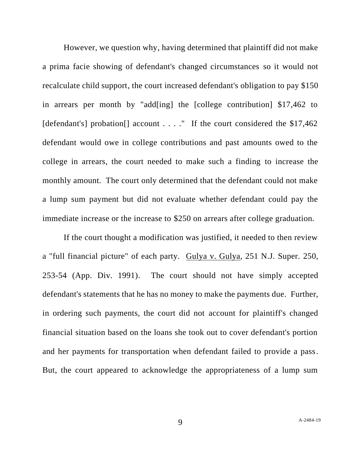However, we question why, having determined that plaintiff did not make a prima facie showing of defendant's changed circumstances so it would not recalculate child support, the court increased defendant's obligation to pay \$150 in arrears per month by "add[ing] the [college contribution] \$17,462 to [defendant's] probation<sup>[]</sup> account . . . ." If the court considered the \$17,462 defendant would owe in college contributions and past amounts owed to the college in arrears, the court needed to make such a finding to increase the monthly amount. The court only determined that the defendant could not make a lump sum payment but did not evaluate whether defendant could pay the immediate increase or the increase to \$250 on arrears after college graduation.

If the court thought a modification was justified, it needed to then review a "full financial picture" of each party. Gulya v. Gulya, 251 N.J. Super. 250, 253-54 (App. Div. 1991). The court should not have simply accepted defendant's statements that he has no money to make the payments due. Further, in ordering such payments, the court did not account for plaintiff's changed financial situation based on the loans she took out to cover defendant's portion and her payments for transportation when defendant failed to provide a pass. But, the court appeared to acknowledge the appropriateness of a lump sum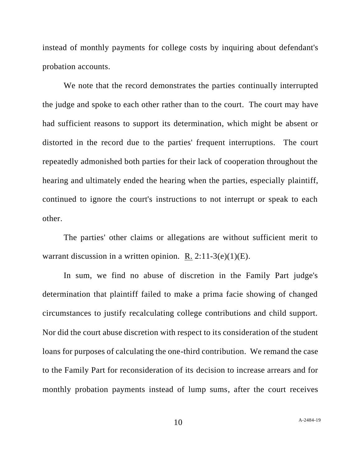instead of monthly payments for college costs by inquiring about defendant's probation accounts.

We note that the record demonstrates the parties continually interrupted the judge and spoke to each other rather than to the court. The court may have had sufficient reasons to support its determination, which might be absent or distorted in the record due to the parties' frequent interruptions. The court repeatedly admonished both parties for their lack of cooperation throughout the hearing and ultimately ended the hearing when the parties, especially plaintiff, continued to ignore the court's instructions to not interrupt or speak to each other.

The parties' other claims or allegations are without sufficient merit to warrant discussion in a written opinion. R.  $2:11-3(e)(1)(E)$ .

In sum, we find no abuse of discretion in the Family Part judge's determination that plaintiff failed to make a prima facie showing of changed circumstances to justify recalculating college contributions and child support. Nor did the court abuse discretion with respect to its consideration of the student loans for purposes of calculating the one-third contribution. We remand the case to the Family Part for reconsideration of its decision to increase arrears and for monthly probation payments instead of lump sums, after the court receives